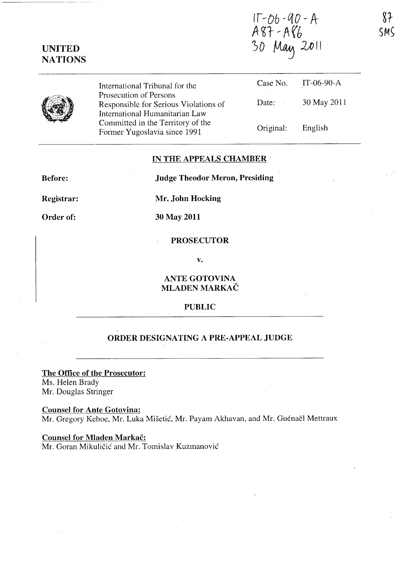$11 - 06 - 90 - A$ A87-A86<br>30 May 2011



International Tribunal for the Prosecution of Persons Responsible for Serious Violations of International Humanitarian Law Committed in the Territory of the Former Yugoslavia since 1991

| Case No.  | IT-06-90- $A$ |
|-----------|---------------|
| Date:     | 30 May 2011   |
| Original: | English       |

### **IN THE APPEALS CHAMBER'**

**Before:** 

**Judge Theodor Meron, Presiding** 

**Registrar:** 

**Mr. John Hocking** 

**Order of:** 

**30 May 2011** 

# **PROSECUTOR**

**v.** 

**ANTE GOTOVINA MLADEN MARKAC** 

### **PUBLIC**

## **ORDER DESIGNATING A PRE-APPEAL JUDGE**

**The Office of the Prosecutor:**  Ms. Helen Brady Mr. Douglas Stringer

**Counsel for Ante Gotovina:**  Mr. Gregory Kehoe, Mr. Luka Mišetić, Mr. Payam Akhavan, and Mr. Guénaël Mettraux

**Counsel for Mladen Markac:**  Mr. Goran Mikuličić and Mr. Tomislav Kuzmanović